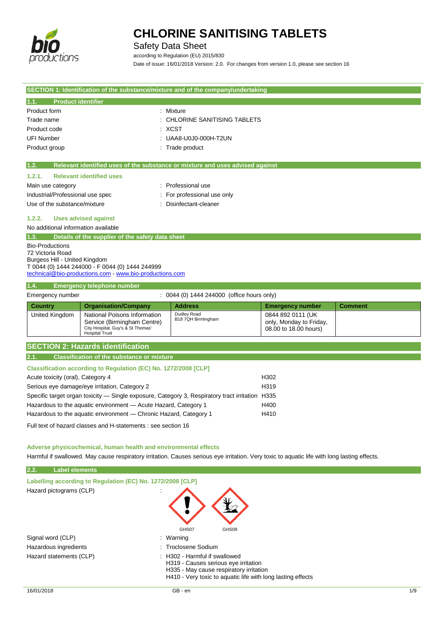

## Safety Data Sheet

according to Regulation (EU) 2015/830 Date of issue: 16/01/2018 Version: 2.0. For changes from version 1.0, please see section 16

| SECTION 1: Identification of the substance/mixture and of the company/undertaking               |                                                                  |                                                                               |                                                  |                |
|-------------------------------------------------------------------------------------------------|------------------------------------------------------------------|-------------------------------------------------------------------------------|--------------------------------------------------|----------------|
| <b>Product identifier</b><br>1.1.                                                               |                                                                  |                                                                               |                                                  |                |
| Product form                                                                                    |                                                                  | : Mixture                                                                     |                                                  |                |
| Trade name                                                                                      |                                                                  | : CHLORINE SANITISING TABLETS                                                 |                                                  |                |
| Product code                                                                                    |                                                                  | : XCST                                                                        |                                                  |                |
| <b>UFI Number</b>                                                                               |                                                                  | UAA8-U0J0-000H-T2UN                                                           |                                                  |                |
| Product group                                                                                   |                                                                  | : Trade product                                                               |                                                  |                |
| 1.2.                                                                                            |                                                                  | Relevant identified uses of the substance or mixture and uses advised against |                                                  |                |
| 1.2.1.                                                                                          | <b>Relevant identified uses</b>                                  |                                                                               |                                                  |                |
| Main use category                                                                               |                                                                  | : Professional use                                                            |                                                  |                |
| Industrial/Professional use spec                                                                |                                                                  | For professional use only                                                     |                                                  |                |
| Use of the substance/mixture                                                                    |                                                                  | Disinfectant-cleaner                                                          |                                                  |                |
| 1.2.2.                                                                                          | <b>Uses advised against</b>                                      |                                                                               |                                                  |                |
| No additional information available                                                             |                                                                  |                                                                               |                                                  |                |
| 1.3.                                                                                            | Details of the supplier of the safety data sheet                 |                                                                               |                                                  |                |
| <b>Bio-Productions</b>                                                                          |                                                                  |                                                                               |                                                  |                |
| 72 Victoria Road                                                                                |                                                                  |                                                                               |                                                  |                |
| Burgess Hill - United Kingdom                                                                   | T 0044 (0) 1444 244000 - F 0044 (0) 1444 244999                  |                                                                               |                                                  |                |
|                                                                                                 | technical@bio-productions.com - www.bio-productions.com          |                                                                               |                                                  |                |
| 1.4.                                                                                            | <b>Emergency telephone number</b>                                |                                                                               |                                                  |                |
| Emergency number                                                                                |                                                                  | : 0044 (0) 1444 244000 (office hours only)                                    |                                                  |                |
| <b>Country</b>                                                                                  | <b>Organisation/Company</b>                                      | <b>Address</b>                                                                | <b>Emergency number</b>                          | <b>Comment</b> |
| United Kingdom                                                                                  | National Poisons Information                                     | Dudley Road<br>B18 7QH Birmingham                                             | 0844 892 0111 (UK                                |                |
|                                                                                                 | Service (Birmingham Centre)<br>City Hospital, Guy's & St Thomas' |                                                                               | only, Monday to Friday,<br>08.00 to 18.00 hours) |                |
|                                                                                                 | <b>Hospital Trust</b>                                            |                                                                               |                                                  |                |
|                                                                                                 | <b>SECTION 2: Hazards identification</b>                         |                                                                               |                                                  |                |
| 2.1.                                                                                            | <b>Classification of the substance or mixture</b>                |                                                                               |                                                  |                |
| Classification according to Regulation (EC) No. 1272/2008 [CLP]                                 |                                                                  |                                                                               |                                                  |                |
| Acute toxicity (oral), Category 4                                                               |                                                                  |                                                                               | H302                                             |                |
| Serious eye damage/eye irritation, Category 2                                                   |                                                                  | H319                                                                          |                                                  |                |
| Specific target organ toxicity - Single exposure, Category 3, Respiratory tract irritation H335 |                                                                  |                                                                               |                                                  |                |
| Hazardous to the aquatic environment - Acute Hazard, Category 1                                 |                                                                  | H400                                                                          |                                                  |                |
| Hazardous to the aquatic environment - Chronic Hazard, Category 1                               |                                                                  | H410                                                                          |                                                  |                |
| Full text of hazard classes and H-statements : see section 16                                   |                                                                  |                                                                               |                                                  |                |
|                                                                                                 |                                                                  |                                                                               |                                                  |                |

**Adverse physicochemical, human health and environmental effects**

Harmful if swallowed. May cause respiratory irritation. Causes serious eye irritation. Very toxic to aquatic life with long lasting effects.

| 2.2.<br><b>Label elements</b>                              |                                                                                                                                                                                            |
|------------------------------------------------------------|--------------------------------------------------------------------------------------------------------------------------------------------------------------------------------------------|
| Labelling according to Regulation (EC) No. 1272/2008 [CLP] |                                                                                                                                                                                            |
| Hazard pictograms (CLP)<br>$\epsilon$                      | GHS07<br>GHS09                                                                                                                                                                             |
| Signal word (CLP)                                          | : Warning                                                                                                                                                                                  |
| Hazardous ingredients                                      | : Troclosene Sodium                                                                                                                                                                        |
| Hazard statements (CLP)                                    | $\therefore$ H302 - Harmful if swallowed<br>H319 - Causes serious eye irritation<br>H335 - May cause respiratory irritation<br>H410 - Very toxic to aquatic life with long lasting effects |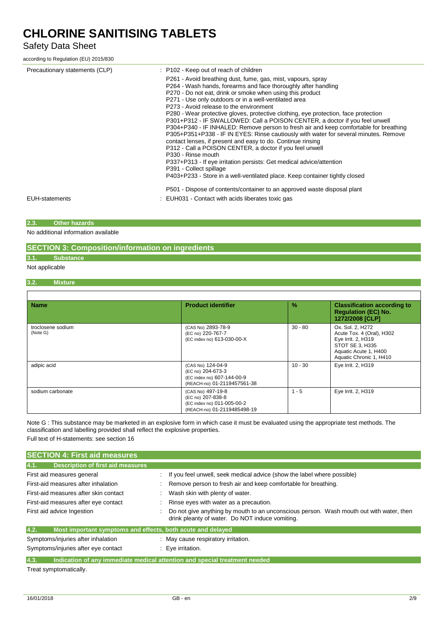## Safety Data Sheet

according to Regulation (EU) 2015/830

| Precautionary statements (CLP) | : P102 - Keep out of reach of children<br>P261 - Avoid breathing dust, fume, gas, mist, vapours, spray<br>P264 - Wash hands, forearms and face thoroughly after handling<br>P270 - Do not eat, drink or smoke when using this product<br>P271 - Use only outdoors or in a well-ventilated area<br>P273 - Avoid release to the environment<br>P280 - Wear protective gloves, protective clothing, eye protection, face protection<br>P301+P312 - IF SWALLOWED: Call a POISON CENTER, a doctor if you feel unwell<br>P304+P340 - IF INHALED: Remove person to fresh air and keep comfortable for breathing<br>P305+P351+P338 - IF IN EYES: Rinse cautiously with water for several minutes. Remove<br>contact lenses, if present and easy to do. Continue rinsing<br>P312 - Call a POISON CENTER, a doctor if you feel unwell<br>P330 - Rinse mouth<br>P337+P313 - If eye irritation persists: Get medical advice/attention<br>P391 - Collect spillage<br>P403+P233 - Store in a well-ventilated place. Keep container tightly closed |
|--------------------------------|-------------------------------------------------------------------------------------------------------------------------------------------------------------------------------------------------------------------------------------------------------------------------------------------------------------------------------------------------------------------------------------------------------------------------------------------------------------------------------------------------------------------------------------------------------------------------------------------------------------------------------------------------------------------------------------------------------------------------------------------------------------------------------------------------------------------------------------------------------------------------------------------------------------------------------------------------------------------------------------------------------------------------------------|
| <b>EUH-statements</b>          | P501 - Dispose of contents/container to an approved waste disposal plant<br>: EUH031 - Contact with acids liberates toxic gas                                                                                                                                                                                                                                                                                                                                                                                                                                                                                                                                                                                                                                                                                                                                                                                                                                                                                                       |

#### **2.3. Other hazards**

No additional information available

#### **SECTION 3: Composition/information on ingredients**

### **3.1. Substance**

Not applicable

r

#### **3.2. Mixture**

| <b>Name</b>                   | <b>Product identifier</b>                                                                           | $\%$      | <b>Classification according to</b><br><b>Regulation (EC) No.</b><br>1272/2008 [CLP]                                                        |
|-------------------------------|-----------------------------------------------------------------------------------------------------|-----------|--------------------------------------------------------------------------------------------------------------------------------------------|
| troclosene sodium<br>(Note G) | (CAS No) 2893-78-9<br>(EC no) 220-767-7<br>(EC index no) 613-030-00-X                               | $30 - 80$ | Ox. Sol. 2, H272<br>Acute Tox. 4 (Oral), H302<br>Eye Irrit. 2, H319<br>STOT SE 3, H335<br>Aquatic Acute 1, H400<br>Aquatic Chronic 1, H410 |
| adipic acid                   | (CAS No) 124-04-9<br>(EC no) 204-673-3<br>(EC index no) 607-144-00-9<br>(REACH-no) 01-2119457561-38 | $10 - 30$ | Eye Irrit. 2, H319                                                                                                                         |
| sodium carbonate              | (CAS No) 497-19-8<br>(EC no) 207-838-8<br>(EC index no) 011-005-00-2<br>(REACH-no) 01-2119485498-19 | $1 - 5$   | Eye Irrit. 2, H319                                                                                                                         |

Note G : This substance may be marketed in an explosive form in which case it must be evaluated using the appropriate test methods. The classification and labelling provided shall reflect the explosive properties.

Full text of H-statements: see section 16

| If you feel unwell, seek medical advice (show the label where possible)                                                                    |
|--------------------------------------------------------------------------------------------------------------------------------------------|
| Remove person to fresh air and keep comfortable for breathing.                                                                             |
| Wash skin with plenty of water.                                                                                                            |
| Rinse eyes with water as a precaution.                                                                                                     |
| Do not give anything by mouth to an unconscious person. Wash mouth out with water, then<br>drink pleanty of water. Do NOT induce vomiting. |
| Most important symptoms and effects, both acute and delayed                                                                                |
| : May cause respiratory irritation.                                                                                                        |
| : Eve irritation.                                                                                                                          |
| Indication of any immediate medical attention and special treatment needed                                                                 |
|                                                                                                                                            |

Treat symptomatically.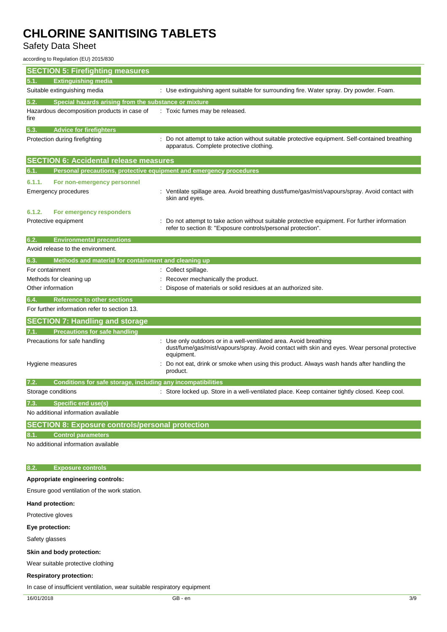Safety Data Sheet

according to Regulation (EU) 2015/830

| <b>SECTION 5: Firefighting measures</b>                                     |                                                                                                                                                              |
|-----------------------------------------------------------------------------|--------------------------------------------------------------------------------------------------------------------------------------------------------------|
| <b>Extinguishing media</b><br>5.1.                                          |                                                                                                                                                              |
| Suitable extinguishing media                                                | : Use extinguishing agent suitable for surrounding fire. Water spray. Dry powder. Foam.                                                                      |
| Special hazards arising from the substance or mixture<br>5.2.               |                                                                                                                                                              |
| Hazardous decomposition products in case of<br>fire                         | Toxic fumes may be released.                                                                                                                                 |
| <b>Advice for firefighters</b><br>5.3.                                      |                                                                                                                                                              |
| Protection during firefighting                                              | : Do not attempt to take action without suitable protective equipment. Self-contained breathing<br>apparatus. Complete protective clothing.                  |
| <b>SECTION 6: Accidental release measures</b>                               |                                                                                                                                                              |
| Personal precautions, protective equipment and emergency procedures<br>6.1. |                                                                                                                                                              |
| 6.1.1.<br>For non-emergency personnel                                       |                                                                                                                                                              |
| <b>Emergency procedures</b>                                                 | : Ventilate spillage area. Avoid breathing dust/fume/gas/mist/vapours/spray. Avoid contact with<br>skin and eyes.                                            |
| 6.1.2.<br>For emergency responders                                          |                                                                                                                                                              |
| Protective equipment                                                        | Do not attempt to take action without suitable protective equipment. For further information<br>refer to section 8: "Exposure controls/personal protection". |
| 6.2.<br><b>Environmental precautions</b>                                    |                                                                                                                                                              |
| Avoid release to the environment.                                           |                                                                                                                                                              |
| 6.3.<br>Methods and material for containment and cleaning up                |                                                                                                                                                              |
| For containment                                                             | : Collect spillage.                                                                                                                                          |
| Methods for cleaning up                                                     | Recover mechanically the product.                                                                                                                            |
| Other information                                                           | Dispose of materials or solid residues at an authorized site.                                                                                                |
| <b>Reference to other sections</b><br>6.4.                                  |                                                                                                                                                              |
| For further information refer to section 13.                                |                                                                                                                                                              |
| <b>SECTION 7: Handling and storage</b>                                      |                                                                                                                                                              |
| <b>Precautions for safe handling</b><br>7.1.                                | Use only outdoors or in a well-ventilated area. Avoid breathing                                                                                              |
| Precautions for safe handling                                               | dust/fume/gas/mist/vapours/spray. Avoid contact with skin and eyes. Wear personal protective<br>equipment.                                                   |
| Hygiene measures                                                            | Do not eat, drink or smoke when using this product. Always wash hands after handling the<br>product.                                                         |
| 7.2.<br>Conditions for safe storage, including any incompatibilities        |                                                                                                                                                              |
| Storage conditions                                                          | : Store locked up. Store in a well-ventilated place. Keep container tightly closed. Keep cool.                                                               |
| <b>Specific end use(s)</b>                                                  |                                                                                                                                                              |
| No additional information available                                         |                                                                                                                                                              |
| <b>SECTION 8: Exposure controls/personal protection</b>                     |                                                                                                                                                              |
| <b>Control parameters</b><br>8.1.                                           |                                                                                                                                                              |
| No additional information available                                         |                                                                                                                                                              |
|                                                                             |                                                                                                                                                              |
| <b>Exposure controls</b><br>8.2.                                            |                                                                                                                                                              |
| Appropriate engineering controls:                                           |                                                                                                                                                              |
| Ensure good ventilation of the work station.                                |                                                                                                                                                              |
| Hand protection:                                                            |                                                                                                                                                              |
| Protective gloves                                                           |                                                                                                                                                              |
| Eye protection:                                                             |                                                                                                                                                              |
| Safety glasses                                                              |                                                                                                                                                              |
| Skin and body protection:                                                   |                                                                                                                                                              |
| Wear suitable protective clothing                                           |                                                                                                                                                              |
| <b>Respiratory protection:</b>                                              |                                                                                                                                                              |
| In case of insufficient ventilation, wear suitable respiratory equipment    |                                                                                                                                                              |
| 16/01/2018                                                                  | GB - en<br>3/9                                                                                                                                               |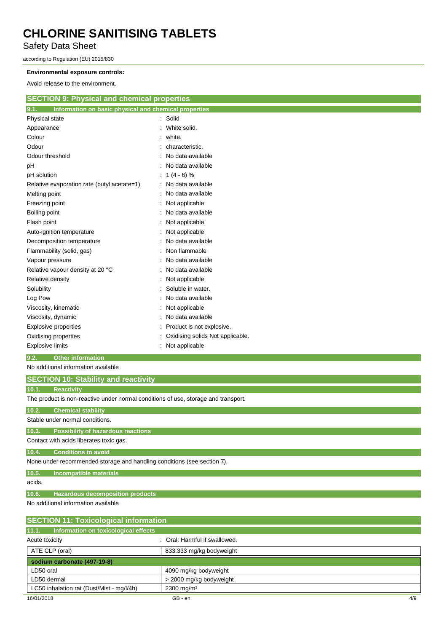Safety Data Sheet

according to Regulation (EU) 2015/830

#### **Environmental exposure controls:**

Avoid release to the environment.

| <b>SECTION 9: Physical and chemical properties</b>            |                                  |  |
|---------------------------------------------------------------|----------------------------------|--|
| Information on basic physical and chemical properties<br>9.1. |                                  |  |
| Physical state                                                | : Solid                          |  |
| Appearance                                                    | White solid.                     |  |
| Colour                                                        | white.                           |  |
| Odour                                                         | characteristic.                  |  |
| Odour threshold                                               | No data available                |  |
| рH                                                            | No data available                |  |
| pH solution                                                   | $1(4-6)\%$                       |  |
| Relative evaporation rate (butyl acetate=1)                   | No data available                |  |
| Melting point                                                 | : No data available              |  |
| Freezing point                                                | Not applicable                   |  |
| Boiling point                                                 | No data available                |  |
| Flash point                                                   | Not applicable                   |  |
| Auto-ignition temperature                                     | : Not applicable                 |  |
| Decomposition temperature                                     | No data available                |  |
| Flammability (solid, gas)                                     | Non flammable                    |  |
| Vapour pressure                                               | No data available                |  |
| Relative vapour density at 20 °C                              | No data available                |  |
| Relative density                                              | Not applicable                   |  |
| Solubility                                                    | Soluble in water.                |  |
| Log Pow                                                       | No data available                |  |
| Viscosity, kinematic                                          | Not applicable                   |  |
| Viscosity, dynamic                                            | No data available                |  |
| <b>Explosive properties</b>                                   | Product is not explosive.        |  |
| Oxidising properties                                          | Oxidising solids Not applicable. |  |
| <b>Explosive limits</b>                                       | : Not applicable                 |  |

#### **9.2. Other information**

#### No additional information available

| <b>SECTION 10: Stability and reactivity</b>                                        |
|------------------------------------------------------------------------------------|
| 10.1.<br><b>Reactivity</b>                                                         |
| The product is non-reactive under normal conditions of use, storage and transport. |
| 10.2.<br><b>Chemical stability</b>                                                 |
| Stable under normal conditions.                                                    |
| 10.3.<br><b>Possibility of hazardous reactions</b>                                 |
| Contact with acids liberates toxic gas.                                            |
| 10.4.<br><b>Conditions to avoid</b>                                                |
| None under recommended storage and handling conditions (see section 7).            |
| 10.5.<br><b>Incompatible materials</b>                                             |
| acids.                                                                             |
| 10.6.<br><b>Hazardous decomposition products</b>                                   |
|                                                                                    |

No additional information available

| <b>SECTION 11: Toxicological information</b>  |                               |     |
|-----------------------------------------------|-------------------------------|-----|
| 11.1.<br>Information on toxicological effects |                               |     |
| Acute toxicity                                | : Oral: Harmful if swallowed. |     |
| ATE CLP (oral)                                | 833.333 mg/kg bodyweight      |     |
| sodium carbonate (497-19-8)                   |                               |     |
| LD50 oral                                     | 4090 mg/kg bodyweight         |     |
| LD50 dermal                                   | > 2000 mg/kg bodyweight       |     |
| LC50 inhalation rat (Dust/Mist - mg/l/4h)     | $2300 \,\mathrm{mg/m^3}$      |     |
| 16/01/2018                                    | GB - en                       | 4/9 |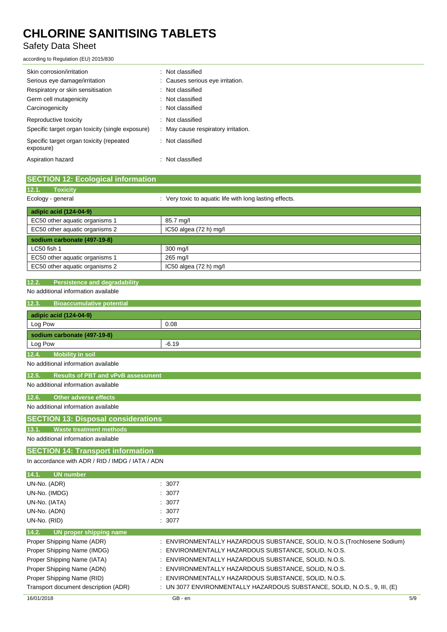## Safety Data Sheet

according to Regulation (EU) 2015/830

| Skin corrosion/irritation                             | : Not classified                    |
|-------------------------------------------------------|-------------------------------------|
| Serious eye damage/irritation                         | : Causes serious eye irritation.    |
| Respiratory or skin sensitisation                     | : Not classified                    |
| Germ cell mutagenicity                                | : Not classified                    |
| Carcinogenicity                                       | Not classified                      |
| Reproductive toxicity                                 | : Not classified                    |
| Specific target organ toxicity (single exposure)      | : May cause respiratory irritation. |
| Specific target organ toxicity (repeated<br>exposure) | : Not classified                    |
| Aspiration hazard                                     | Not classified                      |

| <b>SECTION 12: Ecological information</b> |                                                         |
|-------------------------------------------|---------------------------------------------------------|
| 12.1.<br><b>Toxicity</b>                  |                                                         |
| Ecology - general                         | : Very toxic to aquatic life with long lasting effects. |
| adipic acid (124-04-9)                    |                                                         |
| EC50 other aquatic organisms 1            | 85.7 mg/l                                               |
| EC50 other aquatic organisms 2            | $IC50$ algea $(72 h)$ mg/l                              |
| sodium carbonate (497-19-8)               |                                                         |
| LC50 fish 1                               | 300 mg/l                                                |
| EC50 other aquatic organisms 1            | 265 mg/l                                                |
| EC50 other aquatic organisms 2            | $IC50$ algea $(72 h)$ mg/l                              |

#### **12.2. Persistence and degradability**

No additional information available

| 12.3.<br><b>Bioaccumulative potential</b>          |                                                                           |
|----------------------------------------------------|---------------------------------------------------------------------------|
| adipic acid (124-04-9)                             |                                                                           |
| Log Pow                                            | 0.08                                                                      |
| sodium carbonate (497-19-8)                        |                                                                           |
| Log Pow                                            | $-6.19$                                                                   |
| <b>Mobility in soil</b><br>12.4.                   |                                                                           |
| No additional information available                |                                                                           |
| 12.5.<br><b>Results of PBT and vPvB assessment</b> |                                                                           |
| No additional information available                |                                                                           |
| 12.6.<br><b>Other adverse effects</b>              |                                                                           |
| No additional information available                |                                                                           |
| <b>SECTION 13: Disposal considerations</b>         |                                                                           |
| <b>Waste treatment methods</b><br>13.1.            |                                                                           |
| No additional information available                |                                                                           |
| <b>SECTION 14: Transport information</b>           |                                                                           |
| In accordance with ADR / RID / IMDG / IATA / ADN   |                                                                           |
| 14.1.<br><b>UN number</b>                          |                                                                           |
| UN-No. (ADR)                                       | : 3077                                                                    |
| UN-No. (IMDG)                                      | 3077                                                                      |
| UN-No. (IATA)                                      | 3077                                                                      |
| UN-No. (ADN)                                       | 3077                                                                      |
| UN-No. (RID)                                       | 3077                                                                      |
| 14.2.<br>UN proper shipping name                   |                                                                           |
| Proper Shipping Name (ADR)                         | ENVIRONMENTALLY HAZARDOUS SUBSTANCE, SOLID, N.O.S. (Trochlosene Sodium)   |
| Proper Shipping Name (IMDG)                        | ENVIRONMENTALLY HAZARDOUS SUBSTANCE, SOLID, N.O.S.                        |
| Proper Shipping Name (IATA)                        | ENVIRONMENTALLY HAZARDOUS SUBSTANCE, SOLID, N.O.S.                        |
| Proper Shipping Name (ADN)                         | ENVIRONMENTALLY HAZARDOUS SUBSTANCE, SOLID, N.O.S.                        |
| Proper Shipping Name (RID)                         | ENVIRONMENTALLY HAZARDOUS SUBSTANCE, SOLID, N.O.S.                        |
| Transport document description (ADR)               | : UN 3077 ENVIRONMENTALLY HAZARDOUS SUBSTANCE, SOLID, N.O.S., 9, III, (E) |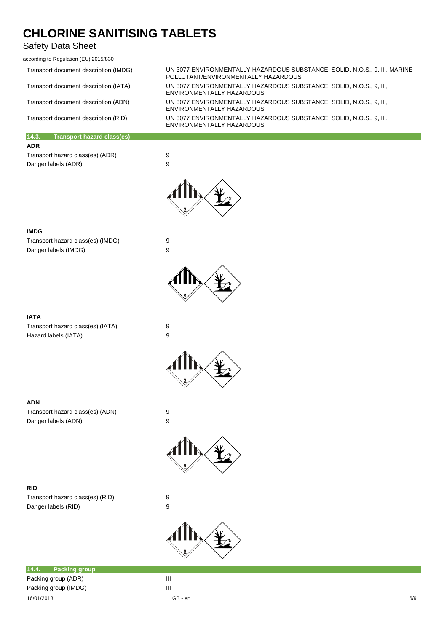## Safety Data Sheet

| according to Regulation (EU) 2015/830      |                                                                                                                      |
|--------------------------------------------|----------------------------------------------------------------------------------------------------------------------|
| Transport document description (IMDG)      | : UN 3077 ENVIRONMENTALLY HAZARDOUS SUBSTANCE, SOLID, N.O.S., 9, III, MARINE<br>POLITITANT/FNVIRONMENTALLY HAZARDOUS |
| Transport document description (IATA)      | : UN 3077 ENVIRONMENTALLY HAZARDOUS SUBSTANCE, SOLID, N.O.S., 9, III,<br>ENVIRONMENTALLY HAZARDOUS                   |
| Transport document description (ADN)       | : UN 3077 ENVIRONMENTALLY HAZARDOUS SUBSTANCE, SOLID, N.O.S., 9, III,<br>ENVIRONMENTALLY HAZARDOUS                   |
| Transport document description (RID)       | : UN 3077 ENVIRONMENTALLY HAZARDOUS SUBSTANCE. SOLID. N.O.S., 9. III.<br>ENVIRONMENTALLY HAZARDOUS                   |
| 14.3.<br><b>Transport hazard class(es)</b> |                                                                                                                      |
| <b>ADR</b>                                 |                                                                                                                      |
| Transport hazard class(es) (ADR)           | : 9                                                                                                                  |
| Danger labels (ADR)                        | : 9                                                                                                                  |



#### **IMDG**

Transport hazard class(es) (IMDG) : 9 Danger labels (IMDG)  $\qquad \qquad$  : 9



#### **IATA**

Transport hazard class(es) (IATA) : 9 Hazard labels (IATA)  $\qquad \qquad : 9$ 



:



#### **ADN**

Transport hazard class(es) (ADN) : 9 Danger labels (ADN) : 9

# :

#### **RID**

Transport hazard class(es) (RID) : 9 Danger labels (RID)  $\qquad \qquad$  : 9



| 14.4. | <b>Packing group</b> |   |
|-------|----------------------|---|
|       | Packing group (ADR)  | Ш |
|       | Packing group (IMDG) | Ш |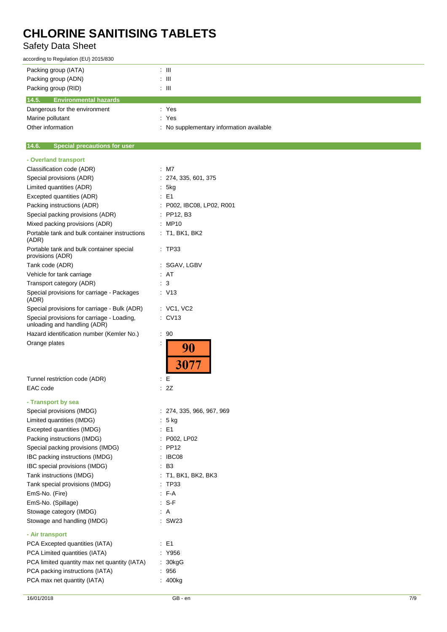## Safety Data Sheet

according to Regulation (EU) 2015/830

| Packing group (IATA)                  | : III                                    |
|---------------------------------------|------------------------------------------|
| Packing group (ADN)                   | : III                                    |
| Packing group (RID)                   | : III                                    |
| 14.5.<br><b>Environmental hazards</b> |                                          |
| Dangerous for the environment         | : Yes                                    |
| Marine pollutant                      | : Yes                                    |
| Other information                     | : No supplementary information available |

#### $\overline{a}$ **14.6. Special precautions for user**

| - Overland transport                                                       |                           |
|----------------------------------------------------------------------------|---------------------------|
| Classification code (ADR)                                                  | : M7                      |
| Special provisions (ADR)                                                   | : 274, 335, 601, 375      |
| Limited quantities (ADR)                                                   | : 5kg                     |
| Excepted quantities (ADR)                                                  | $E = 1$                   |
| Packing instructions (ADR)                                                 | : P002, IBC08, LP02, R001 |
| Special packing provisions (ADR)                                           | $\therefore$ PP12, B3     |
| Mixed packing provisions (ADR)                                             | : MP10                    |
| Portable tank and bulk container instructions<br>(ADR)                     | : T1, BK1, BK2            |
| Portable tank and bulk container special<br>provisions (ADR)               | TP33                      |
| Tank code (ADR)                                                            | : SGAV, LGBV              |
| Vehicle for tank carriage                                                  | : AT                      |
| Transport category (ADR)                                                   | : 3                       |
| Special provisions for carriage - Packages<br>(ADR)                        | : V13                     |
| Special provisions for carriage - Bulk (ADR)                               | : VC1, VC2                |
| Special provisions for carriage - Loading,<br>unloading and handling (ADR) | $\therefore$ CV13         |
| Hazard identification number (Kemler No.)                                  | ÷.<br>90                  |
| Orange plates<br>İ                                                         |                           |
|                                                                            |                           |
|                                                                            | 3077                      |
|                                                                            |                           |
| Tunnel restriction code (ADR)                                              | Е<br>÷.                   |
| EAC code                                                                   | : 2Z                      |
| - Transport by sea                                                         |                           |
| Special provisions (IMDG)                                                  | : 274, 335, 966, 967, 969 |
| Limited quantities (IMDG)                                                  | : 5 kg                    |
| Excepted quantities (IMDG)                                                 | $E = 1$                   |
| Packing instructions (IMDG)                                                | : P002, LP02              |
| Special packing provisions (IMDG)                                          | : PP12                    |
| IBC packing instructions (IMDG)                                            | IBC08                     |
| IBC special provisions (IMDG)                                              | : B3                      |
| Tank instructions (IMDG)                                                   | : T1, BK1, BK2, BK3       |
| Tank special provisions (IMDG)                                             | : TP33                    |
|                                                                            | : F-A                     |
| EmS-No. (Fire)<br>EmS-No. (Spillage)                                       | $: S-F$                   |
| Stowage category (IMDG)                                                    | : A                       |
| Stowage and handling (IMDG)                                                | : SW23                    |
| - Air transport                                                            |                           |
| PCA Excepted quantities (IATA)                                             | E1                        |
| PCA Limited quantities (IATA)                                              | Y956                      |
| PCA limited quantity max net quantity (IATA)                               | 30kgG                     |
| PCA packing instructions (IATA)                                            | 956                       |
| PCA max net quantity (IATA)                                                | 400kg                     |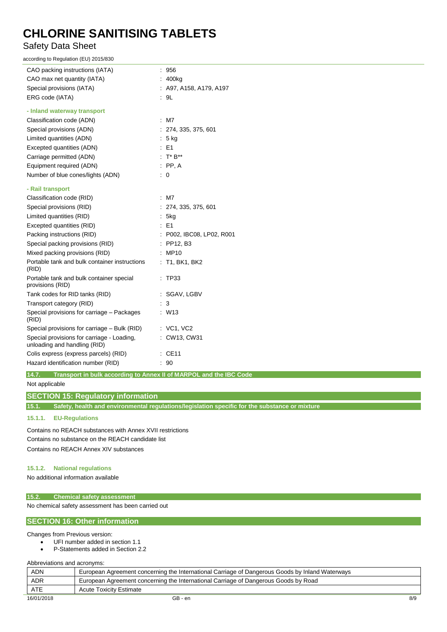## Safety Data Sheet

according to Regulation (EU) 2015/830

| CAO packing instructions (IATA)                                            | : 956                     |
|----------------------------------------------------------------------------|---------------------------|
| CAO max net quantity (IATA)                                                | : 400kg                   |
| Special provisions (IATA)                                                  | : A97, A158, A179, A197   |
| ERG code (IATA)                                                            | .9L                       |
| - Inland waterway transport                                                |                           |
| Classification code (ADN)                                                  | $\therefore$ M7           |
| Special provisions (ADN)                                                   | : 274, 335, 375, 601      |
| Limited quantities (ADN)                                                   | : 5 kg                    |
| Excepted quantities (ADN)                                                  | $\therefore$ E1           |
| Carriage permitted (ADN)                                                   | : $T^* B^{**}$            |
| Equipment required (ADN)                                                   | $\therefore$ PP, A        |
| Number of blue cones/lights (ADN)                                          | $\therefore$ 0            |
| - Rail transport                                                           |                           |
| Classification code (RID)                                                  | $:$ M7                    |
| Special provisions (RID)                                                   | : 274, 335, 375, 601      |
| Limited quantities (RID)                                                   | : 5kg                     |
| Excepted quantities (RID)                                                  | $\therefore$ E1           |
| Packing instructions (RID)                                                 | : P002, IBC08, LP02, R001 |
| Special packing provisions (RID)                                           | : PP12, B3                |
| Mixed packing provisions (RID)                                             | : MP10                    |
| Portable tank and bulk container instructions<br>(RID)                     | : T1, BK1, BK2            |
| Portable tank and bulk container special<br>provisions (RID)               | : TP33                    |
| Tank codes for RID tanks (RID)                                             | : SGAV, LGBV              |
| Transport category (RID)                                                   | $\therefore$ 3            |
| Special provisions for carriage - Packages<br>(RID)                        | $:$ W13                   |
| Special provisions for carriage - Bulk (RID)                               | : VC1, VC2                |
| Special provisions for carriage - Loading,<br>unloading and handling (RID) | : CW13, CW31              |
| Colis express (express parcels) (RID)                                      | $\therefore$ CE11         |
| Hazard identification number (RID)                                         | .90                       |
|                                                                            |                           |

**14.7. Transport in bulk according to Annex II of MARPOL and the IBC Code**

Not applicable

#### **SECTION 15: Regulatory information**

**15.1. Safety, health and environmental regulations/legislation specific for the substance or mixture**

#### **15.1.1. EU-Regulations**

Contains no REACH substances with Annex XVII restrictions Contains no substance on the REACH candidate list Contains no REACH Annex XIV substances

#### **15.1.2. National regulations**

No additional information available

#### **15.2. Chemical safety assessment**

No chemical safety assessment has been carried out

#### **SECTION 16: Other information**

Changes from Previous version:

- UFI number added in section 1.1
- P-Statements added in Section 2.2

Abbreviations and acronyms:

| <b>ADN</b> | European Agreement concerning the International Carriage of Dangerous Goods by Inland Waterways |     |
|------------|-------------------------------------------------------------------------------------------------|-----|
| <b>ADR</b> | European Agreement concerning the International Carriage of Dangerous Goods by Road             |     |
| ATE        | <b>Acute Toxicity Estimate</b>                                                                  |     |
| 16/01/2018 | GB - en                                                                                         | 8/9 |